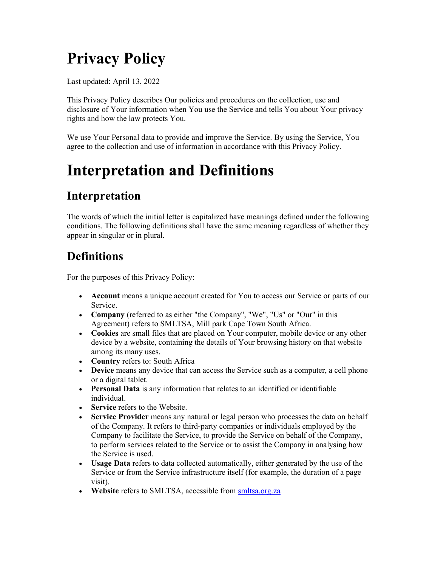# Privacy Policy

Last updated: April 13, 2022

This Privacy Policy describes Our policies and procedures on the collection, use and disclosure of Your information when You use the Service and tells You about Your privacy rights and how the law protects You.

We use Your Personal data to provide and improve the Service. By using the Service, You agree to the collection and use of information in accordance with this Privacy Policy.

## Interpretation and Definitions

## Interpretation

The words of which the initial letter is capitalized have meanings defined under the following conditions. The following definitions shall have the same meaning regardless of whether they appear in singular or in plural.

## **Definitions**

For the purposes of this Privacy Policy:

- Account means a unique account created for You to access our Service or parts of our Service.
- Company (referred to as either "the Company", "We", "Us" or "Our" in this Agreement) refers to SMLTSA, Mill park Cape Town South Africa.
- Cookies are small files that are placed on Your computer, mobile device or any other device by a website, containing the details of Your browsing history on that website among its many uses.
- Country refers to: South Africa
- Device means any device that can access the Service such as a computer, a cell phone or a digital tablet.
- Personal Data is any information that relates to an identified or identifiable individual.
- Service refers to the Website.
- Service Provider means any natural or legal person who processes the data on behalf of the Company. It refers to third-party companies or individuals employed by the Company to facilitate the Service, to provide the Service on behalf of the Company, to perform services related to the Service or to assist the Company in analysing how the Service is used.
- Usage Data refers to data collected automatically, either generated by the use of the Service or from the Service infrastructure itself (for example, the duration of a page visit).
- Website refers to SMLTSA, accessible from smltsa.org.za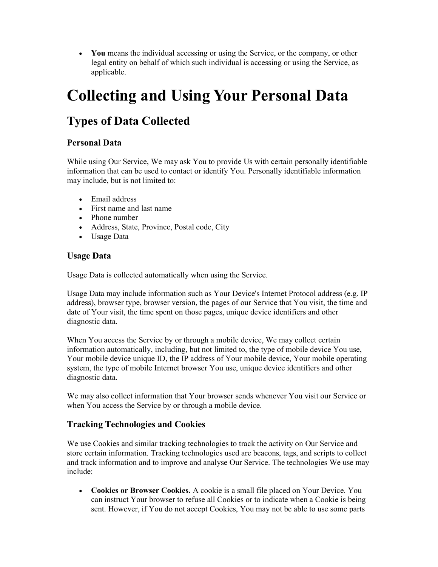You means the individual accessing or using the Service, or the company, or other legal entity on behalf of which such individual is accessing or using the Service, as applicable.

## Collecting and Using Your Personal Data

## Types of Data Collected

#### Personal Data

While using Our Service, We may ask You to provide Us with certain personally identifiable information that can be used to contact or identify You. Personally identifiable information may include, but is not limited to:

- Email address
- First name and last name
- Phone number
- Address, State, Province, Postal code, City
- Usage Data

#### Usage Data

Usage Data is collected automatically when using the Service.

Usage Data may include information such as Your Device's Internet Protocol address (e.g. IP address), browser type, browser version, the pages of our Service that You visit, the time and date of Your visit, the time spent on those pages, unique device identifiers and other diagnostic data.

When You access the Service by or through a mobile device, We may collect certain information automatically, including, but not limited to, the type of mobile device You use, Your mobile device unique ID, the IP address of Your mobile device, Your mobile operating system, the type of mobile Internet browser You use, unique device identifiers and other diagnostic data.

We may also collect information that Your browser sends whenever You visit our Service or when You access the Service by or through a mobile device.

### Tracking Technologies and Cookies

We use Cookies and similar tracking technologies to track the activity on Our Service and store certain information. Tracking technologies used are beacons, tags, and scripts to collect and track information and to improve and analyse Our Service. The technologies We use may include:

 Cookies or Browser Cookies. A cookie is a small file placed on Your Device. You can instruct Your browser to refuse all Cookies or to indicate when a Cookie is being sent. However, if You do not accept Cookies, You may not be able to use some parts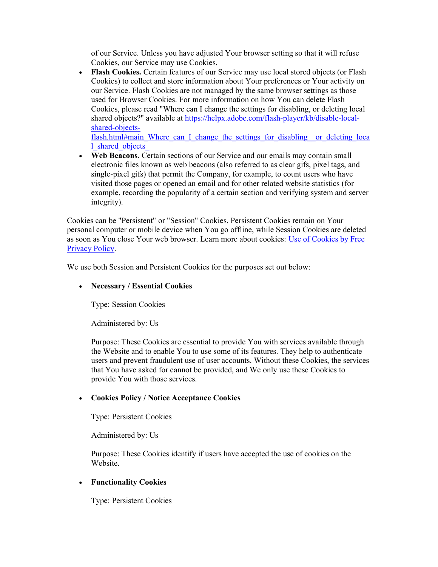of our Service. Unless you have adjusted Your browser setting so that it will refuse Cookies, our Service may use Cookies.

 Flash Cookies. Certain features of our Service may use local stored objects (or Flash Cookies) to collect and store information about Your preferences or Your activity on our Service. Flash Cookies are not managed by the same browser settings as those used for Browser Cookies. For more information on how You can delete Flash Cookies, please read "Where can I change the settings for disabling, or deleting local shared objects?" available at https://helpx.adobe.com/flash-player/kb/disable-localshared-objects-

flash.html#main\_Where\_can\_I\_change\_the\_settings\_for\_disabling\_\_or\_deleting\_loca l\_shared\_objects\_

 Web Beacons. Certain sections of our Service and our emails may contain small electronic files known as web beacons (also referred to as clear gifs, pixel tags, and single-pixel gifs) that permit the Company, for example, to count users who have visited those pages or opened an email and for other related website statistics (for example, recording the popularity of a certain section and verifying system and server integrity).

Cookies can be "Persistent" or "Session" Cookies. Persistent Cookies remain on Your personal computer or mobile device when You go offline, while Session Cookies are deleted as soon as You close Your web browser. Learn more about cookies: Use of Cookies by Free Privacy Policy.

We use both Session and Persistent Cookies for the purposes set out below:

#### • Necessary / Essential Cookies

Type: Session Cookies

Administered by: Us

Purpose: These Cookies are essential to provide You with services available through the Website and to enable You to use some of its features. They help to authenticate users and prevent fraudulent use of user accounts. Without these Cookies, the services that You have asked for cannot be provided, and We only use these Cookies to provide You with those services.

#### Cookies Policy / Notice Acceptance Cookies

Type: Persistent Cookies

Administered by: Us

Purpose: These Cookies identify if users have accepted the use of cookies on the Website.

#### Functionality Cookies

Type: Persistent Cookies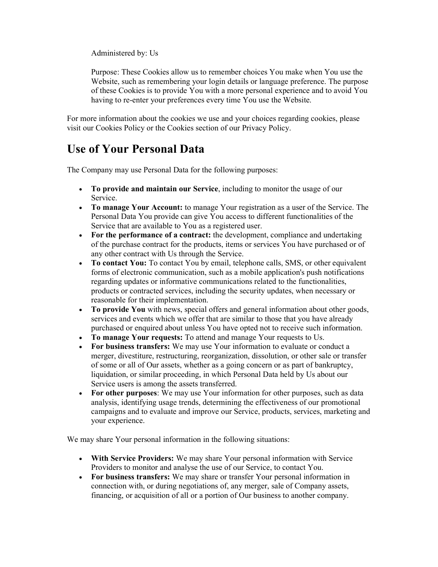Administered by: Us

Purpose: These Cookies allow us to remember choices You make when You use the Website, such as remembering your login details or language preference. The purpose of these Cookies is to provide You with a more personal experience and to avoid You having to re-enter your preferences every time You use the Website.

For more information about the cookies we use and your choices regarding cookies, please visit our Cookies Policy or the Cookies section of our Privacy Policy.

### Use of Your Personal Data

The Company may use Personal Data for the following purposes:

- To provide and maintain our Service, including to monitor the usage of our Service.
- To manage Your Account: to manage Your registration as a user of the Service. The Personal Data You provide can give You access to different functionalities of the Service that are available to You as a registered user.
- For the performance of a contract: the development, compliance and undertaking of the purchase contract for the products, items or services You have purchased or of any other contract with Us through the Service.
- To contact You: To contact You by email, telephone calls, SMS, or other equivalent forms of electronic communication, such as a mobile application's push notifications regarding updates or informative communications related to the functionalities, products or contracted services, including the security updates, when necessary or reasonable for their implementation.
- To provide You with news, special offers and general information about other goods, services and events which we offer that are similar to those that you have already purchased or enquired about unless You have opted not to receive such information.
- To manage Your requests: To attend and manage Your requests to Us.
- For business transfers: We may use Your information to evaluate or conduct a merger, divestiture, restructuring, reorganization, dissolution, or other sale or transfer of some or all of Our assets, whether as a going concern or as part of bankruptcy, liquidation, or similar proceeding, in which Personal Data held by Us about our Service users is among the assets transferred.
- For other purposes: We may use Your information for other purposes, such as data analysis, identifying usage trends, determining the effectiveness of our promotional campaigns and to evaluate and improve our Service, products, services, marketing and your experience.

We may share Your personal information in the following situations:

- With Service Providers: We may share Your personal information with Service Providers to monitor and analyse the use of our Service, to contact You.
- For business transfers: We may share or transfer Your personal information in connection with, or during negotiations of, any merger, sale of Company assets, financing, or acquisition of all or a portion of Our business to another company.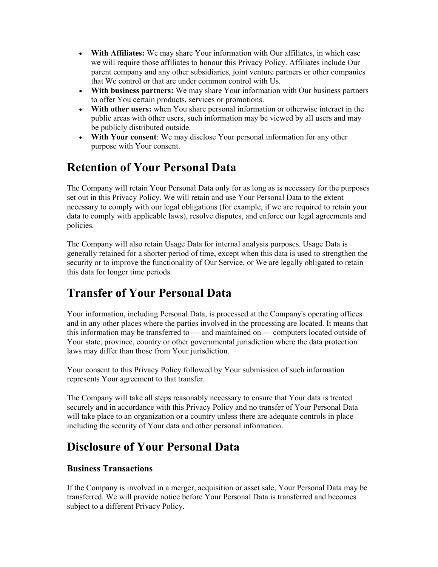- With Affiliates: We may share Your information with Our affiliates, in which case we will require those affiliates to honour this Privacy Policy. Affiliates include Our parent company and any other subsidiaries, joint venture partners or other companies that We control or that are under common control with Us.
- With business partners: We may share Your information with Our business partners to offer You certain products, services or promotions.
- With other users: when You share personal information or otherwise interact in the public areas with other users, such information may be viewed by all users and may be publicly distributed outside.
- With Your consent: We may disclose Your personal information for any other purpose with Your consent.

### Retention of Your Personal Data

The Company will retain Your Personal Data only for as long as is necessary for the purposes set out in this Privacy Policy. We will retain and use Your Personal Data to the extent necessary to comply with our legal obligations (for example, if we are required to retain your data to comply with applicable laws), resolve disputes, and enforce our legal agreements and policies.

The Company will also retain Usage Data for internal analysis purposes. Usage Data is generally retained for a shorter period of time, except when this data is used to strengthen the security or to improve the functionality of Our Service, or We are legally obligated to retain this data for longer time periods.

### Transfer of Your Personal Data

Your information, including Personal Data, is processed at the Company's operating offices and in any other places where the parties involved in the processing are located. It means that this information may be transferred to — and maintained on — computers located outside of Your state, province, country or other governmental jurisdiction where the data protection laws may differ than those from Your jurisdiction.

Your consent to this Privacy Policy followed by Your submission of such information represents Your agreement to that transfer.

The Company will take all steps reasonably necessary to ensure that Your data is treated securely and in accordance with this Privacy Policy and no transfer of Your Personal Data will take place to an organization or a country unless there are adequate controls in place including the security of Your data and other personal information.

## Disclosure of Your Personal Data

#### Business Transactions

If the Company is involved in a merger, acquisition or asset sale, Your Personal Data may be transferred. We will provide notice before Your Personal Data is transferred and becomes subject to a different Privacy Policy.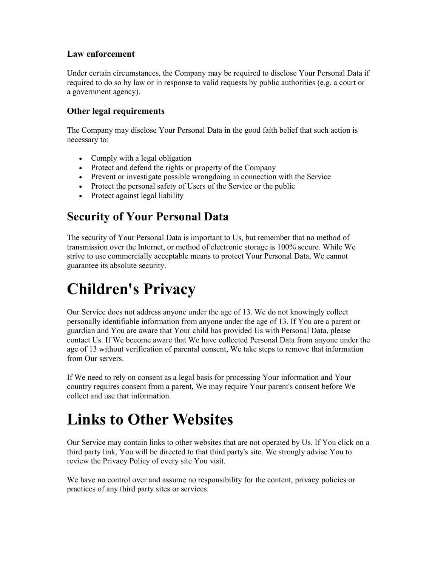#### Law enforcement

Under certain circumstances, the Company may be required to disclose Your Personal Data if required to do so by law or in response to valid requests by public authorities (e.g. a court or a government agency).

#### Other legal requirements

The Company may disclose Your Personal Data in the good faith belief that such action is necessary to:

- Comply with a legal obligation
- Protect and defend the rights or property of the Company
- Prevent or investigate possible wrongdoing in connection with the Service
- Protect the personal safety of Users of the Service or the public
- Protect against legal liability

## Security of Your Personal Data

The security of Your Personal Data is important to Us, but remember that no method of transmission over the Internet, or method of electronic storage is 100% secure. While We strive to use commercially acceptable means to protect Your Personal Data, We cannot guarantee its absolute security.

## Children's Privacy

Our Service does not address anyone under the age of 13. We do not knowingly collect personally identifiable information from anyone under the age of 13. If You are a parent or guardian and You are aware that Your child has provided Us with Personal Data, please contact Us. If We become aware that We have collected Personal Data from anyone under the age of 13 without verification of parental consent, We take steps to remove that information from Our servers.

If We need to rely on consent as a legal basis for processing Your information and Your country requires consent from a parent, We may require Your parent's consent before We collect and use that information.

## Links to Other Websites

Our Service may contain links to other websites that are not operated by Us. If You click on a third party link, You will be directed to that third party's site. We strongly advise You to review the Privacy Policy of every site You visit.

We have no control over and assume no responsibility for the content, privacy policies or practices of any third party sites or services.